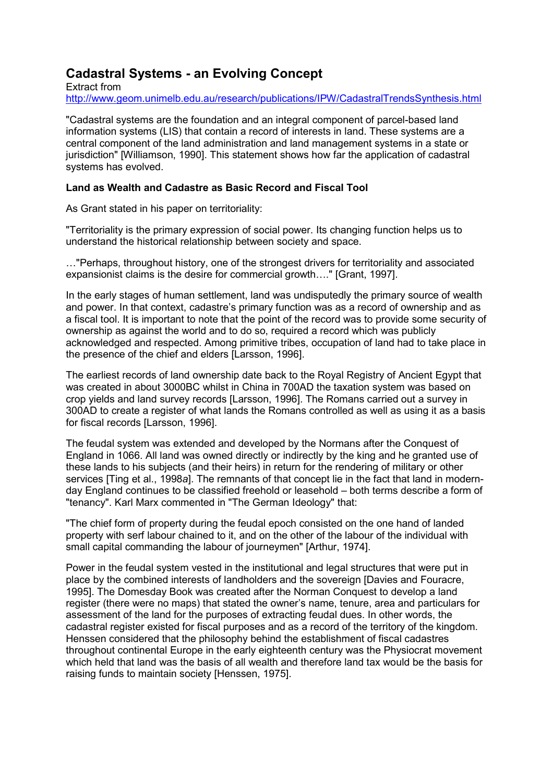## **Cadastral Systems - an Evolving Concept**

Extract from http://www.geom.unimelb.edu.au/research/publications/IPW/CadastralTrendsSynthesis.html

"Cadastral systems are the foundation and an integral component of parcel-based land information systems (LIS) that contain a record of interests in land. These systems are a central component of the land administration and land management systems in a state or jurisdiction" [Williamson, 1990]. This statement shows how far the application of cadastral systems has evolved.

## **Land as Wealth and Cadastre as Basic Record and Fiscal Tool**

As Grant stated in his paper on territoriality:

"Territoriality is the primary expression of social power. Its changing function helps us to understand the historical relationship between society and space.

…"Perhaps, throughout history, one of the strongest drivers for territoriality and associated expansionist claims is the desire for commercial growth…." [Grant, 1997].

In the early stages of human settlement, land was undisputedly the primary source of wealth and power. In that context, cadastre's primary function was as a record of ownership and as a fiscal tool. It is important to note that the point of the record was to provide some security of ownership as against the world and to do so, required a record which was publicly acknowledged and respected. Among primitive tribes, occupation of land had to take place in the presence of the chief and elders [Larsson, 1996].

The earliest records of land ownership date back to the Royal Registry of Ancient Egypt that was created in about 3000BC whilst in China in 700AD the taxation system was based on crop yields and land survey records [Larsson, 1996]. The Romans carried out a survey in 300AD to create a register of what lands the Romans controlled as well as using it as a basis for fiscal records [Larsson, 1996].

The feudal system was extended and developed by the Normans after the Conquest of England in 1066. All land was owned directly or indirectly by the king and he granted use of these lands to his subjects (and their heirs) in return for the rendering of military or other services [Ting et al., 1998*a*]. The remnants of that concept lie in the fact that land in modernday England continues to be classified freehold or leasehold – both terms describe a form of "tenancy". Karl Marx commented in "The German Ideology" that:

"The chief form of property during the feudal epoch consisted on the one hand of landed property with serf labour chained to it, and on the other of the labour of the individual with small capital commanding the labour of journeymen" [Arthur, 1974].

Power in the feudal system vested in the institutional and legal structures that were put in place by the combined interests of landholders and the sovereign [Davies and Fouracre, 1995]. The Domesday Book was created after the Norman Conquest to develop a land register (there were no maps) that stated the owner's name, tenure, area and particulars for assessment of the land for the purposes of extracting feudal dues. In other words, the cadastral register existed for fiscal purposes and as a record of the territory of the kingdom. Henssen considered that the philosophy behind the establishment of fiscal cadastres throughout continental Europe in the early eighteenth century was the Physiocrat movement which held that land was the basis of all wealth and therefore land tax would be the basis for raising funds to maintain society [Henssen, 1975].